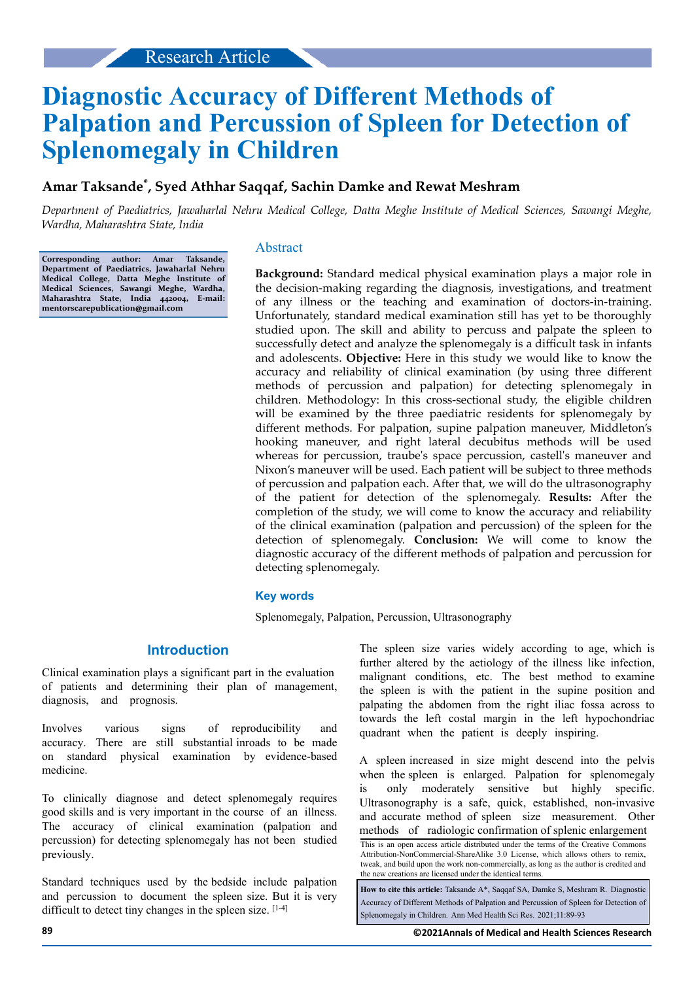# **Diagnostic Accuracy of Different Methods of Palpation and Percussion of Spleen for Detection of Splenomegaly in Children**

# **Amar Taksande\* , Syed Athhar Saqqaf, Sachin Damke and Rewat Meshram**

*Department of Paediatrics, Jawaharlal Nehru Medical College, Datta Meghe Institute of Medical Sciences, Sawangi Meghe, Wardha, Maharashtra State, India*

**Corresponding author: Amar Taksande, Department of Paediatrics, Jawaharlal Nehru Medical College, Datta Meghe Institute of Medical Sciences, Sawangi Meghe, Wardha, Maharashtra State, India 442004, E-mail: mentorscarepublication@gmail.com**

## Abstract

**Background:** Standard medical physical examination plays a major role in the decision-making regarding the diagnosis, investigations, and treatment of any illness or the teaching and examination of doctors-in-training. Unfortunately, standard medical examination still has yet to be thoroughly studied upon. The skill and ability to percuss and palpate the spleen to successfully detect and analyze the splenomegaly is a difficult task in infants and adolescents. **Objective:** Here in this study we would like to know the accuracy and reliability of clinical examination (by using three different methods of percussion and palpation) for detecting splenomegaly in children. Methodology: In this cross-sectional study, the eligible children will be examined by the three paediatric residents for splenomegaly by different methods. For palpation, supine palpation maneuver, Middleton's hooking maneuver, and right lateral decubitus methods will be used whereas for percussion, traube's space percussion, castell's maneuver and Nixon's maneuver will be used. Each patient will be subject to three methods of percussion and palpation each. After that, we will do the ultrasonography of the patient for detection of the splenomegaly. **Results:** After the completion of the study, we will come to know the accuracy and reliability of the clinical examination (palpation and percussion) of the spleen for the detection of splenomegaly. **Conclusion:** We will come to know the diagnostic accuracy of the different methods of palpation and percussion for detecting splenomegaly.

#### **Key words**

Splenomegaly, Palpation, Percussion, Ultrasonography

## **Introduction**

Clinical examination plays a significant part in the evaluation of patients and determining their plan of management, diagnosis, and prognosis.

Involves various signs of reproducibility and accuracy. There are still substantial inroads to be made on standard physical examination by evidence-based medicine.

To clinically diagnose and detect splenomegaly requires good skills and is very important in the course of an illness. The accuracy of clinical examination (palpation and percussion) for detecting splenomegaly has not been studied previously.

Standard techniques used by the bedside include palpation and percussion to document the spleen size. But it is very difficult to detect tiny changes in the spleen size. [1-4]

The spleen size varies widely according to age, which is further altered by the aetiology of the illness like infection, malignant conditions, etc. The best method to examine the spleen is with the patient in the supine position and palpating the abdomen from the right iliac fossa across to towards the left costal margin in the left hypochondriac quadrant when the patient is deeply inspiring.

A spleen increased in size might descend into the pelvis when the spleen is enlarged. Palpation for splenomegaly is only moderately sensitive but highly specific. Ultrasonography is a safe, quick, established, non-invasive and accurate method of spleen size measurement. Other methods of radiologic confirmation of splenic enlargement

This is an open access article distributed under the terms of the Creative Commons Attribution-NonCommercial-ShareAlike 3.0 License, which allows others to remix, tweak, and build upon the work non‑commercially, as long as the author is credited and the new creations are licensed under the identical terms.

**How to cite this article:** Taksande A\*, Saqqaf SA, Damke S, Meshram R. Diagnostic Accuracy of Different Methods of Palpation and Percussion of Spleen for Detection of Splenomegaly in Children. Ann Med Health Sci Res. 2021;11:89-93

**89 ©2021Annals of Medical and Health Sciences Research**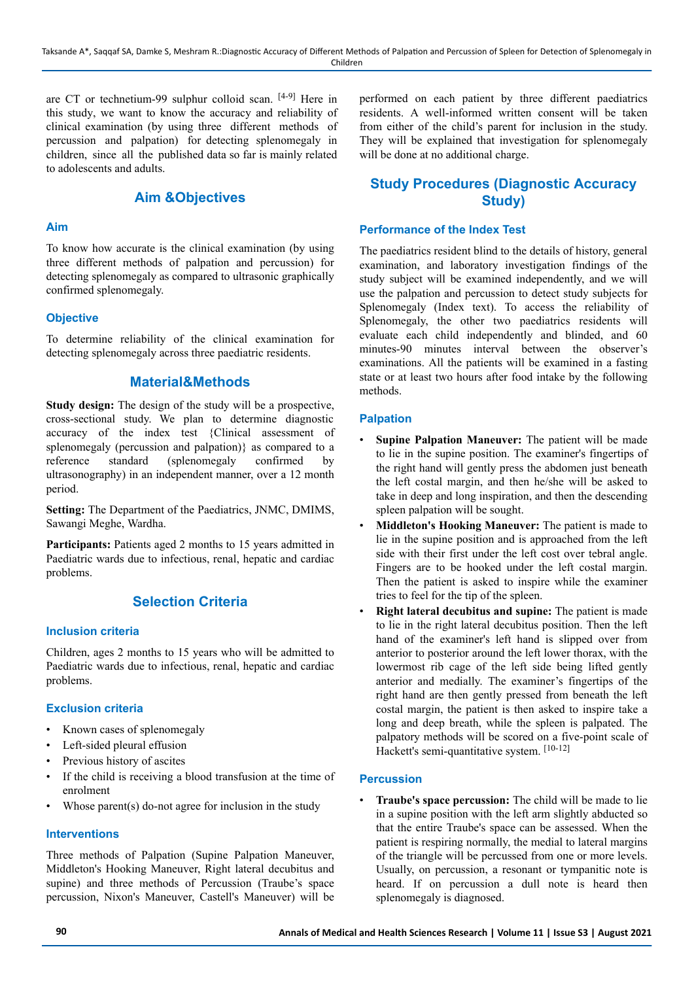are CT or technetium-99 sulphur colloid scan. [4-9] Here in this study, we want to know the accuracy and reliability of clinical examination (by using three different methods of percussion and palpation) for detecting splenomegaly in children, since all the published data so far is mainly related to adolescents and adults.

# **Aim &Objectives**

#### **Aim**

To know how accurate is the clinical examination (by using three different methods of palpation and percussion) for detecting splenomegaly as compared to ultrasonic graphically confirmed splenomegaly.

## **Objective**

To determine reliability of the clinical examination for detecting splenomegaly across three paediatric residents.

# **Material&Methods**

**Study design:** The design of the study will be a prospective, cross-sectional study. We plan to determine diagnostic accuracy of the index test {Clinical assessment of splenomegaly (percussion and palpation)} as compared to a reference standard (splenomegaly confirmed by ultrasonography) in an independent manner, over a 12 month period.

**Setting:** The Department of the Paediatrics, JNMC, DMIMS, Sawangi Meghe, Wardha.

Participants: Patients aged 2 months to 15 years admitted in Paediatric wards due to infectious, renal, hepatic and cardiac problems.

# **Selection Criteria**

#### **Inclusion criteria**

Children, ages 2 months to 15 years who will be admitted to Paediatric wards due to infectious, renal, hepatic and cardiac problems.

## **Exclusion criteria**

- Known cases of splenomegaly
- Left-sided pleural effusion
- Previous history of ascites
- If the child is receiving a blood transfusion at the time of enrolment
- Whose parent(s) do-not agree for inclusion in the study

#### **Interventions**

Three methods of Palpation (Supine Palpation Maneuver, Middleton's Hooking Maneuver, Right lateral decubitus and supine) and three methods of Percussion (Traube's space percussion, Nixon's Maneuver, Castell's Maneuver) will be performed on each patient by three different paediatrics residents. A well-informed written consent will be taken from either of the child's parent for inclusion in the study. They will be explained that investigation for splenomegaly will be done at no additional charge.

# **Study Procedures (Diagnostic Accuracy Study)**

#### **Performance of the Index Test**

The paediatrics resident blind to the details of history, general examination, and laboratory investigation findings of the study subject will be examined independently, and we will use the palpation and percussion to detect study subjects for Splenomegaly (Index text). To access the reliability of Splenomegaly, the other two paediatrics residents will evaluate each child independently and blinded, and 60 minutes-90 minutes interval between the observer's examinations. All the patients will be examined in a fasting state or at least two hours after food intake by the following methods.

#### **Palpation**

- **Supine Palpation Maneuver:** The patient will be made to lie in the supine position. The examiner's fingertips of the right hand will gently press the abdomen just beneath the left costal margin, and then he/she will be asked to take in deep and long inspiration, and then the descending spleen palpation will be sought.
- **Middleton's Hooking Maneuver:** The patient is made to lie in the supine position and is approached from the left side with their first under the left cost over tebral angle. Fingers are to be hooked under the left costal margin. Then the patient is asked to inspire while the examiner tries to feel for the tip of the spleen.
- **Right lateral decubitus and supine:** The patient is made to lie in the right lateral decubitus position. Then the left hand of the examiner's left hand is slipped over from anterior to posterior around the left lower thorax, with the lowermost rib cage of the left side being lifted gently anterior and medially. The examiner's fingertips of the right hand are then gently pressed from beneath the left costal margin, the patient is then asked to inspire take a long and deep breath, while the spleen is palpated. The palpatory methods will be scored on a five-point scale of Hackett's semi-quantitative system. [10-12]

#### **Percussion**

• **Traube's space percussion:** The child will be made to lie in a supine position with the left arm slightly abducted so that the entire Traube's space can be assessed. When the patient is respiring normally, the medial to lateral margins of the triangle will be percussed from one or more levels. Usually, on percussion, a resonant or tympanitic note is heard. If on percussion a dull note is heard then splenomegaly is diagnosed.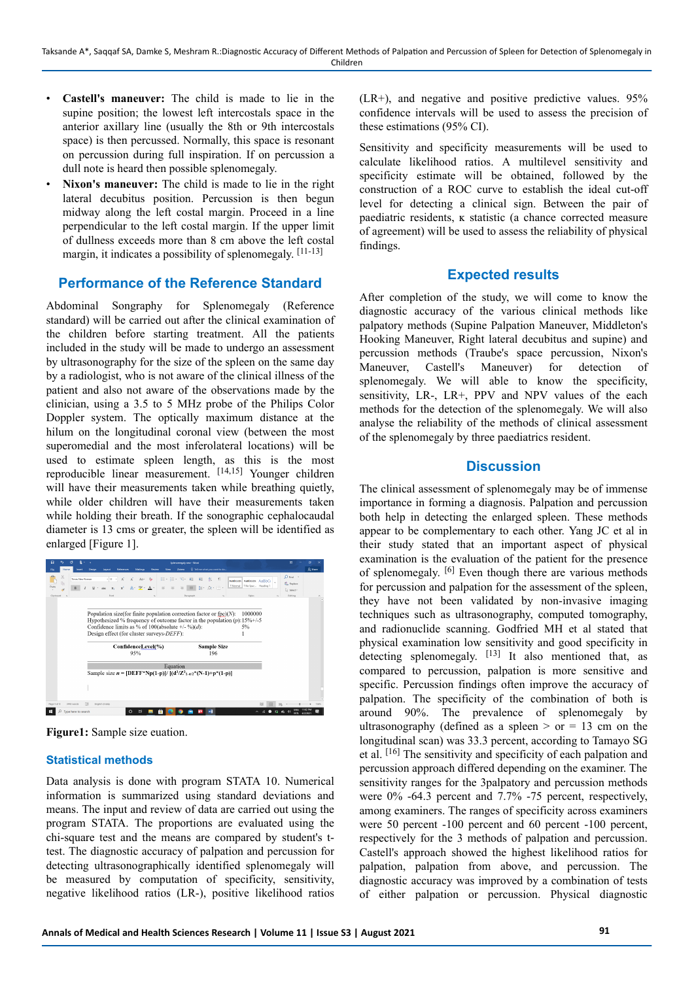- **Castell's maneuver:** The child is made to lie in the supine position; the lowest left intercostals space in the anterior axillary line (usually the 8th or 9th intercostals space) is then percussed. Normally, this space is resonant on percussion during full inspiration. If on percussion a dull note is heard then possible splenomegaly.
- **Nixon's maneuver:** The child is made to lie in the right lateral decubitus position. Percussion is then begun midway along the left costal margin. Proceed in a line perpendicular to the left costal margin. If the upper limit of dullness exceeds more than 8 cm above the left costal margin, it indicates a possibility of splenomegaly. [11-13]

## **Performance of the Reference Standard**

Abdominal Songraphy for Splenomegaly (Reference standard) will be carried out after the clinical examination of the children before starting treatment. All the patients included in the study will be made to undergo an assessment by ultrasonography for the size of the spleen on the same day by a radiologist, who is not aware of the clinical illness of the patient and also not aware of the observations made by the clinician, using a 3.5 to 5 MHz probe of the Philips Color Doppler system. The optically maximum distance at the hilum on the longitudinal coronal view (between the most superomedial and the most inferolateral locations) will be used to estimate spleen length, as this is the most reproducible linear measurement. [14,15] Younger children will have their measurements taken while breathing quietly, while older children will have their measurements taken while holding their breath. If the sonographic cephalocaudal diameter is 13 cms or greater, the spleen will be identified as enlarged [Figure 1].

| H                                                 |                       |                           |                                           | Splenomegaly new - Word                                                                                                                                                                                       |                               |                                                              | m                                       | a         |
|---------------------------------------------------|-----------------------|---------------------------|-------------------------------------------|---------------------------------------------------------------------------------------------------------------------------------------------------------------------------------------------------------------|-------------------------------|--------------------------------------------------------------|-----------------------------------------|-----------|
| Home<br>n.<br>Insect                              | Decian<br>Lavoud      | References<br>Mailings    | Wew<br>Review                             | Zotero                                                                                                                                                                                                        | Q Tell me what you want to do |                                                              |                                         | $R$ Share |
| X,<br>Times New Roman<br><sup>C</sup><br>$9$ aste |                       | $+12$ +<br>ĸ              | Aar Ap<br>A . ツ . A .<br>$=$              | 狂く狂く 優化<br>$\overline{+}$<br>元<br>$=$                                                                                                                                                                         | $\mathcal{F}$<br>91<br>振り込む用。 | AaBbCcDc AaBbCcDc AaRbCc<br>1 Normal   1 No Spac., Heading 1 | $Q$ Find $v$<br>80 Replace<br>> Select- |           |
| Cipbsaid<br>$\mathcal{D}$                         | Fost                  |                           | $\sim$                                    | Paragraph                                                                                                                                                                                                     | $\sim$                        | Shire                                                        | Editing                                 |           |
|                                                   |                       | ConfidenceLevel(%)<br>95% | Design effect (for cluster surveys-DEFF): | Population size (for finite population correction factor or fpc) $(N)$ :<br>Hypothesized % frequency of outcome factor in the population $(p)$ : 15%+/-5<br>Confidence limits as % of 100(absolute +/- %)(d): | <b>Sample Size</b><br>196     | 1000000<br>5%                                                |                                         |           |
|                                                   |                       |                           |                                           | Equation                                                                                                                                                                                                      |                               |                                                              |                                         |           |
|                                                   |                       |                           |                                           | Sample size $n = [DEF*Np(1-p)]/[(d^2/Z^2_{1-a/2}*(N-1)+p*(1-p)]$                                                                                                                                              |                               |                                                              |                                         |           |
|                                                   |                       |                           |                                           |                                                                                                                                                                                                               |                               |                                                              |                                         |           |
|                                                   |                       |                           |                                           |                                                                                                                                                                                                               |                               |                                                              |                                         |           |
|                                                   |                       |                           |                                           |                                                                                                                                                                                                               |                               |                                                              |                                         |           |
|                                                   |                       |                           |                                           |                                                                                                                                                                                                               |                               |                                                              |                                         |           |
| Page 9 of 9<br>2667 words                         | DR<br>Foolish (India) |                           |                                           |                                                                                                                                                                                                               |                               |                                                              |                                         | 1569      |

**Figure1:** Sample size euation.

## **Statistical methods**

Data analysis is done with program STATA 10. Numerical information is summarized using standard deviations and means. The input and review of data are carried out using the program STATA. The proportions are evaluated using the chi-square test and the means are compared by student's ttest. The diagnostic accuracy of palpation and percussion for detecting ultrasonographically identified splenomegaly will be measured by computation of specificity, sensitivity, negative likelihood ratios (LR-), positive likelihood ratios  $(LR<sup>+</sup>)$ , and negative and positive predictive values. 95% confidence intervals will be used to assess the precision of these estimations (95% CI).

Sensitivity and specificity measurements will be used to calculate likelihood ratios. A multilevel sensitivity and specificity estimate will be obtained, followed by the construction of a ROC curve to establish the ideal cut-off level for detecting a clinical sign. Between the pair of paediatric residents,  $\kappa$  statistic (a chance corrected measure of agreement) will be used to assess the reliability of physical findings.

#### **Expected results**

After completion of the study, we will come to know the diagnostic accuracy of the various clinical methods like palpatory methods (Supine Palpation Maneuver, Middleton's Hooking Maneuver, Right lateral decubitus and supine) and percussion methods (Traube's space percussion, Nixon's Maneuver, Castell's Maneuver) for detection of splenomegaly. We will able to know the specificity, sensitivity, LR-, LR+, PPV and NPV values of the each methods for the detection of the splenomegaly. We will also analyse the reliability of the methods of clinical assessment of the splenomegaly by three paediatrics resident.

# **Discussion**

The clinical assessment of splenomegaly may be of immense importance in forming a diagnosis. Palpation and percussion both help in detecting the enlarged spleen. These methods appear to be complementary to each other. Yang JC et al in their study stated that an important aspect of physical examination is the evaluation of the patient for the presence of splenomegaly. [6] Even though there are various methods for percussion and palpation for the assessment of the spleen, they have not been validated by non-invasive imaging techniques such as ultrasonography, computed tomography, and radionuclide scanning. Godfried MH et al stated that physical examination low sensitivity and good specificity in detecting splenomegaly. <sup>[13]</sup> It also mentioned that, as compared to percussion, palpation is more sensitive and specific. Percussion findings often improve the accuracy of palpation. The specificity of the combination of both is around 90%. The prevalence of splenomegaly by ultrasonography (defined as a spleen  $>$  or  $=$  13 cm on the longitudinal scan) was 33.3 percent, according to Tamayo SG et al. [16] The sensitivity and specificity of each palpation and percussion approach differed depending on the examiner. The sensitivity ranges for the 3palpatory and percussion methods were 0% -64.3 percent and 7.7% -75 percent, respectively, among examiners. The ranges of specificity across examiners were 50 percent -100 percent and 60 percent -100 percent, respectively for the 3 methods of palpation and percussion. Castell's approach showed the highest likelihood ratios for palpation, palpation from above, and percussion. The diagnostic accuracy was improved by a combination of tests of either palpation or percussion. Physical diagnostic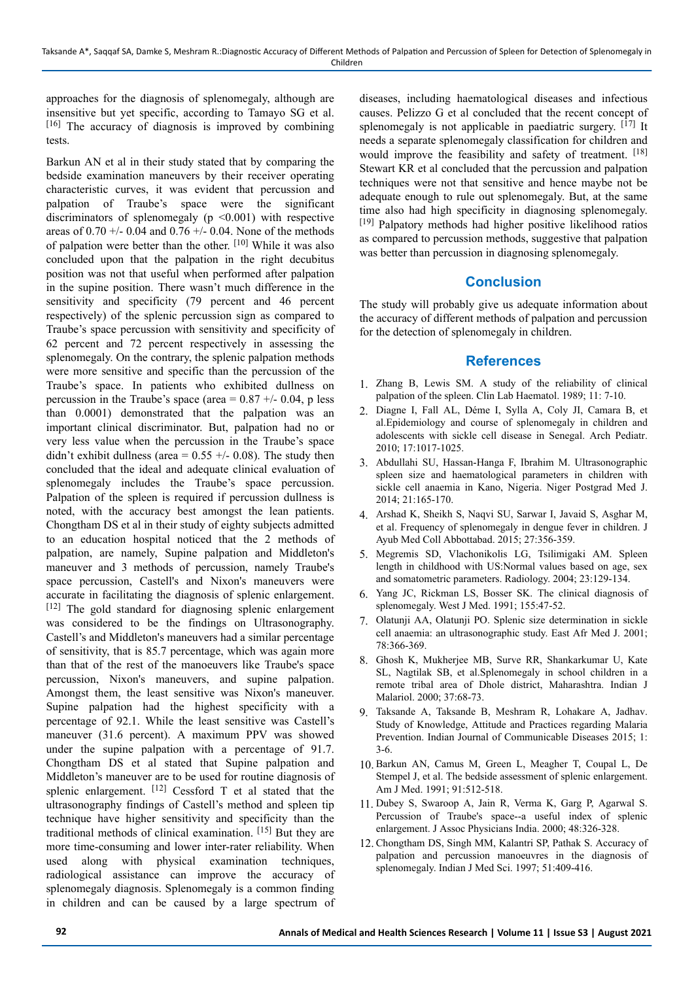approaches for the diagnosis of splenomegaly, although are insensitive but yet specific, according to Tamayo SG et al. [16] The accuracy of diagnosis is improved by combining tests.

Barkun AN et al in their study stated that by comparing the bedside examination maneuvers by their receiver operating characteristic curves, it was evident that percussion and palpation of Traube's space were the significant discriminators of splenomegaly ( $p \leq 0.001$ ) with respective areas of  $0.70 +/- 0.04$  and  $0.76 +/- 0.04$ . None of the methods of palpation were better than the other. [10] While it was also concluded upon that the palpation in the right decubitus position was not that useful when performed after palpation in the supine position. There wasn't much difference in the sensitivity and specificity (79 percent and 46 percent respectively) of the splenic percussion sign as compared to Traube's space percussion with sensitivity and specificity of 62 percent and 72 percent respectively in assessing the splenomegaly. On the contrary, the splenic palpation methods were more sensitive and specific than the percussion of the Traube's space. In patients who exhibited dullness on percussion in the Traube's space (area =  $0.87 +/- 0.04$ , p less than 0.0001) demonstrated that the palpation was an important clinical discriminator. But, palpation had no or very less value when the percussion in the Traube's space didn't exhibit dullness (area =  $0.55$  +/- 0.08). The study then concluded that the ideal and adequate clinical evaluation of splenomegaly includes the Traube's space percussion. Palpation of the spleen is required if percussion dullness is noted, with the accuracy best amongst the lean patients. Chongtham DS et al in their study of eighty subjects admitted to an education hospital noticed that the 2 methods of palpation, are namely, Supine palpation and Middleton's maneuver and 3 methods of percussion, namely Traube's space percussion, Castell's and Nixon's maneuvers were accurate in facilitating the diagnosis of splenic enlargement. [12] The gold standard for diagnosing splenic enlargement was considered to be the findings on Ultrasonography. Castell's and Middleton's maneuvers had a similar percentage of sensitivity, that is 85.7 percentage, which was again more than that of the rest of the manoeuvers like Traube's space percussion, Nixon's maneuvers, and supine palpation. Amongst them, the least sensitive was Nixon's maneuver. Supine palpation had the highest specificity with a percentage of 92.1. While the least sensitive was Castell's maneuver (31.6 percent). A maximum PPV was showed under the supine palpation with a percentage of 91.7. Chongtham DS et al stated that Supine palpation and Middleton's maneuver are to be used for routine diagnosis of splenic enlargement.  $[12]$  Cessford T et al stated that the ultrasonography findings of Castell's method and spleen tip technique have higher sensitivity and specificity than the traditional methods of clinical examination. [15] But they are more time-consuming and lower inter-rater reliability. When used along with physical examination techniques, radiological assistance can improve the accuracy of splenomegaly diagnosis. Splenomegaly is a common finding in children and can be caused by a large spectrum of

diseases, including haematological diseases and infectious causes. Pelizzo G et al concluded that the recent concept of splenomegaly is not applicable in paediatric surgery.  $[17]$  It needs a separate splenomegaly classification for children and would improve the feasibility and safety of treatment. [18] Stewart KR et al concluded that the percussion and palpation techniques were not that sensitive and hence maybe not be adequate enough to rule out splenomegaly. But, at the same time also had high specificity in diagnosing splenomegaly. [19] Palpatory methods had higher positive likelihood ratios as compared to percussion methods, suggestive that palpation was better than percussion in diagnosing splenomegaly.

# **Conclusion**

The study will probably give us adequate information about the accuracy of different methods of palpation and percussion for the detection of splenomegaly in children.

# **References**

- 1. Zhang B, Lewis SM. A study of the reliability of clinical palpation of the spleen. Clin Lab Haematol. 1989; 11: 7-10.
- 2. Diagne I, Fall AL, Déme I, Sylla A, Coly JI, Camara B, et al.Epidemiology and course of splenomegaly in children and adolescents with sickle cell disease in Senegal. Arch Pediatr. 2010; 17:1017-1025.
- 3. Abdullahi SU, Hassan-Hanga F, Ibrahim M. Ultrasonographic spleen size and haematological parameters in children with sickle cell anaemia in Kano, Nigeria. Niger Postgrad Med J. 2014; 21:165-170.
- 4. Arshad K, Sheikh S, Naqvi SU, Sarwar I, Javaid S, Asghar M, et al. Frequency of splenomegaly in dengue fever in children. J Ayub Med Coll Abbottabad. 2015; 27:356-359.
- 5. Megremis SD, Vlachonikolis LG, Tsilimigaki AM. Spleen length in childhood with US:Normal values based on age, sex and somatometric parameters. Radiology. 2004; 23:129-134.
- 6. Yang JC, Rickman LS, Bosser SK. The clinical diagnosis of splenomegaly. West J Med. 1991; 155:47-52.
- 7. Olatunji AA, Olatunji PO. Splenic size determination in sickle cell anaemia: an ultrasonographic study. East Afr Med J. 2001; 78:366-369.
- 8. Ghosh K, Mukherjee MB, Surve RR, Shankarkumar U, Kate SL, Nagtilak SB, et al.Splenomegaly in school children in a remote tribal area of Dhole district, Maharashtra. Indian J Malariol. 2000; 37:68-73.
- 9. Taksande A, Taksande B, Meshram R, Lohakare A, Jadhav. Study of Knowledge, Attitude and Practices regarding Malaria Prevention. Indian Journal of Communicable Diseases 2015; 1: 3-6.
- 10. Barkun AN, Camus M, Green L, Meagher T, Coupal L, De Stempel J, et al. The bedside assessment of splenic enlargement. Am J Med. 1991; 91:512-518.
- 11. Dubey S, Swaroop A, Jain R, Verma K, Garg P, Agarwal S. Percussion of Traube's space--a useful index of splenic enlargement. J Assoc Physicians India. 2000; 48:326-328.
- 12. Chongtham DS, Singh MM, Kalantri SP, Pathak S. Accuracy of palpation and percussion manoeuvres in the diagnosis of splenomegaly. Indian J Med Sci. 1997; 51:409-416.